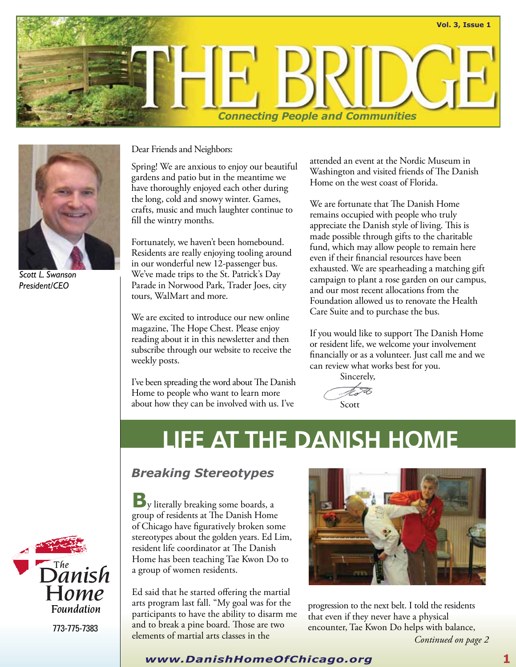



*Scott L. Swanson President/CEO*

Dear Friends and Neighbors:

Spring! We are anxious to enjoy our beautiful gardens and patio but in the meantime we have thoroughly enjoyed each other during the long, cold and snowy winter. Games, crafts, music and much laughter continue to fill the wintry months.

Fortunately, we haven't been homebound. Residents are really enjoying tooling around in our wonderful new 12-passenger bus. We've made trips to the St. Patrick's Day Parade in Norwood Park, Trader Joes, city tours, WalMart and more.

We are excited to introduce our new online magazine, The Hope Chest. Please enjoy reading about it in this newsletter and then subscribe through our website to receive the weekly posts.

I've been spreading the word about The Danish Home to people who want to learn more about how they can be involved with us. I've

attended an event at the Nordic Museum in Washington and visited friends of The Danish Home on the west coast of Florida.

We are fortunate that The Danish Home remains occupied with people who truly appreciate the Danish style of living. This is made possible through gifts to the charitable fund, which may allow people to remain here even if their financial resources have been exhausted. We are spearheading a matching gift campaign to plant a rose garden on our campus, and our most recent allocations from the Foundation allowed us to renovate the Health Care Suite and to purchase the bus.

If you would like to support The Danish Home or resident life, we welcome your involvement financially or as a volunteer. Just call me and we can review what works best for you.

> Sincerely, Scott

## **LIFE AT THE DANISH HOME**

## *Breaking Stereotypes*

**B**y literally breaking some boards, a group of residents at The Danish Home of Chicago have figuratively broken some stereotypes about the golden years. Ed Lim, resident life coordinator at The Danish Home has been teaching Tae Kwon Do to a group of women residents.

Ed said that he started offering the martial arts program last fall. "My goal was for the participants to have the ability to disarm me and to break a pine board. Those are two elements of martial arts classes in the *Continued on page 2*



progression to the next belt. I told the residents that even if they never have a physical encounter, Tae Kwon Do helps with balance,

 $\overline{\mathbf{D}}$ <sup>The</sup> nish  $\sqcup$ ome Foundation

773-775-7383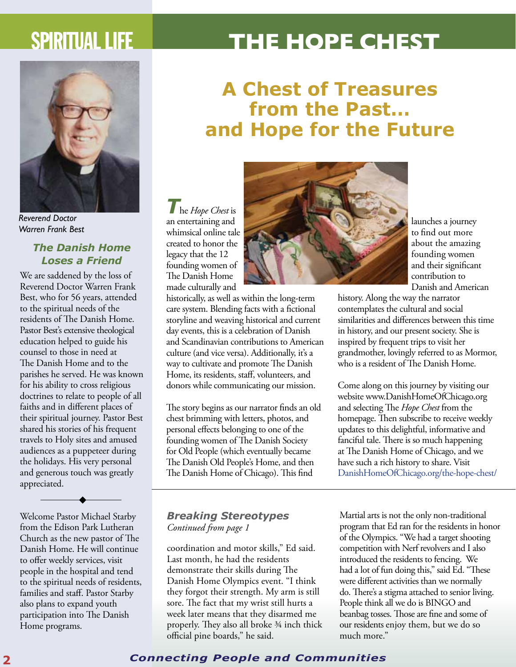## SPIRITUAL LIFE **THE HOPE CHEST**



*Reverend Doctor Warren Frank Best*

### *The Danish Home Loses a Friend*

We are saddened by the loss of Reverend Doctor Warren Frank Best, who for 56 years, attended to the spiritual needs of the residents of The Danish Home. Pastor Best's extensive theological education helped to guide his counsel to those in need at The Danish Home and to the parishes he served. He was known for his ability to cross religious doctrines to relate to people of all faiths and in different places of their spiritual journey. Pastor Best shared his stories of his frequent travels to Holy sites and amused audiences as a puppeteer during the holidays. His very personal and generous touch was greatly appreciated.

Welcome Pastor Michael Starby from the Edison Park Lutheran Church as the new pastor of The Danish Home. He will continue to offer weekly services, visit people in the hospital and tend to the spiritual needs of residents, families and staff. Pastor Starby also plans to expand youth participation into The Danish Home programs.

## **A Chest of Treasures from the Past… and Hope for the Future**



historically, as well as within the long-term care system. Blending facts with a fictional storyline and weaving historical and current day events, this is a celebration of Danish and Scandinavian contributions to American culture (and vice versa). Additionally, it's a way to cultivate and promote The Danish Home, its residents, staff, volunteers, and donors while communicating our mission.

The story begins as our narrator finds an old chest brimming with letters, photos, and personal effects belonging to one of the founding women of The Danish Society for Old People (which eventually became The Danish Old People's Home, and then The Danish Home of Chicago). This find

### *Breaking Stereotypes Continued from page 1*

coordination and motor skills," Ed said. Last month, he had the residents demonstrate their skills during The Danish Home Olympics event. "I think they forgot their strength. My arm is still sore. The fact that my wrist still hurts a week later means that they disarmed me properly. They also all broke 3/4 inch thick official pine boards," he said.



launches a journey to find out more about the amazing founding women and their significant contribution to Danish and American

history. Along the way the narrator contemplates the cultural and social similarities and differences between this time in history, and our present society. She is inspired by frequent trips to visit her grandmother, lovingly referred to as Mormor, who is a resident of The Danish Home.

Come along on this journey by visiting our website www.DanishHomeOfChicago.org and selecting The *Hope Chest* from the homepage. Then subscribe to receive weekly updates to this delightful, informative and fanciful tale. There is so much happening at The Danish Home of Chicago, and we have such a rich history to share. Visit DanishHomeOfChicago.org/the-hope-chest/

Martial arts is not the only non-traditional program that Ed ran for the residents in honor of the Olympics. "We had a target shooting competition with Nerf revolvers and I also introduced the residents to fencing. We had a lot of fun doing this," said Ed. "These were different activities than we normally do. There's a stigma attached to senior living. People think all we do is BINGO and beanbag tosses. Those are fine and some of our residents enjoy them, but we do so much more."

### **2** *Connecting People and Communities*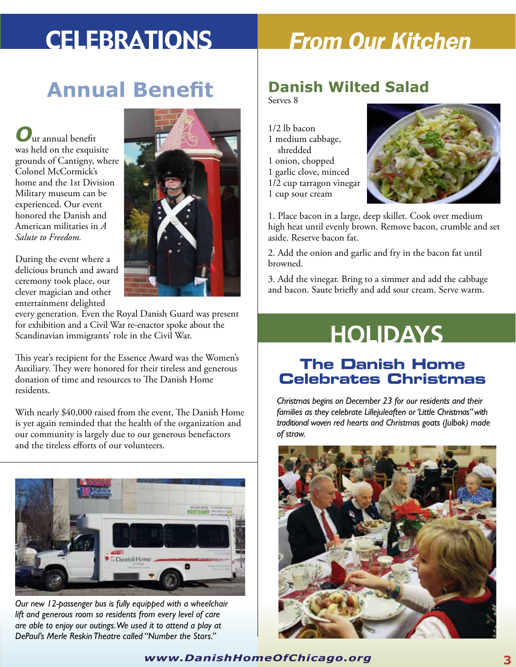# Celebrations *From Our Kitchen*

# **Annual Benefit Danish Wilted Salad**

*O*ur annual benefit was held on the exquisite grounds of Cantigny, where Colonel McCormick's home and the 1st Division Military museum can be experienced. Our event honored the Danish and American militaries in *A Salute to Freedom.*



During the event where a delicious brunch and award ceremony took place, our clever magician and other entertainment delighted

every generation. Even the Royal Danish Guard was present for exhibition and a Civil War re-enactor spoke about the Scandinavian immigrants' role in the Civil War.

This year's recipient for the Essence Award was the Women's Auxiliary. They were honored for their tireless and generous donation of time and resources to The Danish Home residents.

With nearly \$40,000 raised from the event, The Danish Home is yet again reminded that the health of the organization and our community is largely due to our generous benefactors and the tireless efforts of our volunteers.



*Our new 12-passenger bus is fully equipped with a wheelchair lift and generous room so residents from every level of care are able to enjoy our outings. We used it to attend a play at DePaul's Merle Reskin Theatre called "Number the Stars."*

Serves 8

1/2 lb bacon 1 medium cabbage, shredded 1 onion, chopped 1 garlic clove, minced 1/2 cup tarragon vinegar 1 cup sour cream



1. Place bacon in a large, deep skillet. Cook over medium high heat until evenly brown. Remove bacon, crumble and set aside. Reserve bacon fat.

2. Add the onion and garlic and fry in the bacon fat until browned.

3. Add the vinegar. Bring to a simmer and add the cabbage and bacon. Saute briefly and add sour cream. Serve warm.

# **HOLIDAYS**

## **The Danish Home Celebrates Christmas**

*Christmas begins on December 23 for our residents and their families as they celebrate Lillejuleaften or 'Little Christmas" with traditional woven red hearts and Christmas goats (Julbok) made of straw.* 



*www.DanishHomeOfChicago.org* **3**